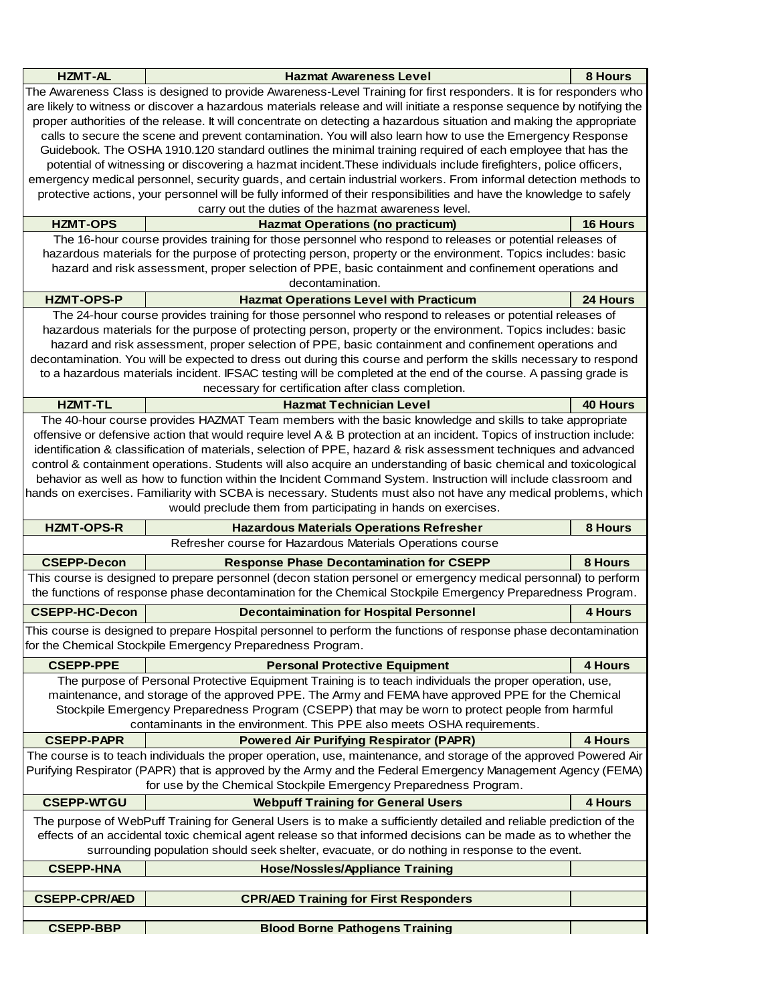| <b>HZMT-AL</b>                                                                                                         | <b>Hazmat Awareness Level</b>                                                                                          | 8 Hours         |  |
|------------------------------------------------------------------------------------------------------------------------|------------------------------------------------------------------------------------------------------------------------|-----------------|--|
|                                                                                                                        |                                                                                                                        |                 |  |
| The Awareness Class is designed to provide Awareness-Level Training for first responders. It is for responders who     |                                                                                                                        |                 |  |
|                                                                                                                        | are likely to witness or discover a hazardous materials release and will initiate a response sequence by notifying the |                 |  |
|                                                                                                                        | proper authorities of the release. It will concentrate on detecting a hazardous situation and making the appropriate   |                 |  |
|                                                                                                                        | calls to secure the scene and prevent contamination. You will also learn how to use the Emergency Response             |                 |  |
|                                                                                                                        | Guidebook. The OSHA 1910.120 standard outlines the minimal training required of each employee that has the             |                 |  |
|                                                                                                                        | potential of witnessing or discovering a hazmat incident. These individuals include firefighters, police officers,     |                 |  |
|                                                                                                                        | emergency medical personnel, security guards, and certain industrial workers. From informal detection methods to       |                 |  |
|                                                                                                                        | protective actions, your personnel will be fully informed of their responsibilities and have the knowledge to safely   |                 |  |
|                                                                                                                        | carry out the duties of the hazmat awareness level.                                                                    |                 |  |
| <b>HZMT-OPS</b>                                                                                                        | <b>Hazmat Operations (no practicum)</b>                                                                                | <b>16 Hours</b> |  |
|                                                                                                                        | The 16-hour course provides training for those personnel who respond to releases or potential releases of              |                 |  |
|                                                                                                                        | hazardous materials for the purpose of protecting person, property or the environment. Topics includes: basic          |                 |  |
|                                                                                                                        | hazard and risk assessment, proper selection of PPE, basic containment and confinement operations and                  |                 |  |
|                                                                                                                        | decontamination.                                                                                                       |                 |  |
| <b>HZMT-OPS-P</b>                                                                                                      | <b>Hazmat Operations Level with Practicum</b>                                                                          | 24 Hours        |  |
|                                                                                                                        | The 24-hour course provides training for those personnel who respond to releases or potential releases of              |                 |  |
|                                                                                                                        |                                                                                                                        |                 |  |
| hazardous materials for the purpose of protecting person, property or the environment. Topics includes: basic          |                                                                                                                        |                 |  |
|                                                                                                                        | hazard and risk assessment, proper selection of PPE, basic containment and confinement operations and                  |                 |  |
|                                                                                                                        | decontamination. You will be expected to dress out during this course and perform the skills necessary to respond      |                 |  |
|                                                                                                                        | to a hazardous materials incident. IFSAC testing will be completed at the end of the course. A passing grade is        |                 |  |
|                                                                                                                        | necessary for certification after class completion.                                                                    |                 |  |
| <b>HZMT-TL</b>                                                                                                         | <b>Hazmat Technician Level</b>                                                                                         | <b>40 Hours</b> |  |
|                                                                                                                        | The 40-hour course provides HAZMAT Team members with the basic knowledge and skills to take appropriate                |                 |  |
| offensive or defensive action that would require level A & B protection at an incident. Topics of instruction include: |                                                                                                                        |                 |  |
|                                                                                                                        | identification & classification of materials, selection of PPE, hazard & risk assessment techniques and advanced       |                 |  |
|                                                                                                                        | control & containment operations. Students will also acquire an understanding of basic chemical and toxicological      |                 |  |
|                                                                                                                        | behavior as well as how to function within the Incident Command System. Instruction will include classroom and         |                 |  |
|                                                                                                                        | hands on exercises. Familiarity with SCBA is necessary. Students must also not have any medical problems, which        |                 |  |
|                                                                                                                        | would preclude them from participating in hands on exercises.                                                          |                 |  |
| <b>HZMT-OPS-R</b>                                                                                                      | <b>Hazardous Materials Operations Refresher</b>                                                                        | 8 Hours         |  |
|                                                                                                                        | Refresher course for Hazardous Materials Operations course                                                             |                 |  |
|                                                                                                                        |                                                                                                                        | 8 Hours         |  |
| <b>CSEPP-Decon</b>                                                                                                     | <b>Response Phase Decontamination for CSEPP</b>                                                                        |                 |  |
| This course is designed to prepare personnel (decon station personel or emergency medical personnal) to perform        |                                                                                                                        |                 |  |
| the functions of response phase decontamination for the Chemical Stockpile Emergency Preparedness Program.             |                                                                                                                        |                 |  |
| <b>CSEPP-HC-Decon</b>                                                                                                  | <b>Decontaimination for Hospital Personnel</b>                                                                         | <b>4 Hours</b>  |  |
|                                                                                                                        | This course is designed to prepare Hospital personnel to perform the functions of response phase decontamination       |                 |  |
| for the Chemical Stockpile Emergency Preparedness Program.                                                             |                                                                                                                        |                 |  |
| <b>CSEPP-PPE</b>                                                                                                       | <b>Personal Protective Equipment</b>                                                                                   | 4 Hours         |  |
|                                                                                                                        | The purpose of Personal Protective Equipment Training is to teach individuals the proper operation, use,               |                 |  |
|                                                                                                                        | maintenance, and storage of the approved PPE. The Army and FEMA have approved PPE for the Chemical                     |                 |  |
|                                                                                                                        | Stockpile Emergency Preparedness Program (CSEPP) that may be worn to protect people from harmful                       |                 |  |
| contaminants in the environment. This PPE also meets OSHA requirements.                                                |                                                                                                                        |                 |  |
|                                                                                                                        |                                                                                                                        |                 |  |
| <b>CSEPP-PAPR</b>                                                                                                      | <b>Powered Air Purifying Respirator (PAPR)</b>                                                                         | <b>4 Hours</b>  |  |
|                                                                                                                        | The course is to teach individuals the proper operation, use, maintenance, and storage of the approved Powered Air     |                 |  |
|                                                                                                                        | Purifying Respirator (PAPR) that is approved by the Army and the Federal Emergency Management Agency (FEMA)            |                 |  |
|                                                                                                                        | for use by the Chemical Stockpile Emergency Preparedness Program.                                                      |                 |  |
| <b>CSEPP-WTGU</b>                                                                                                      | <b>Webpuff Training for General Users</b>                                                                              | <b>4 Hours</b>  |  |
| The purpose of WebPuff Training for General Users is to make a sufficiently detailed and reliable prediction of the    |                                                                                                                        |                 |  |
| effects of an accidental toxic chemical agent release so that informed decisions can be made as to whether the         |                                                                                                                        |                 |  |
| surrounding population should seek shelter, evacuate, or do nothing in response to the event.                          |                                                                                                                        |                 |  |
| <b>CSEPP-HNA</b>                                                                                                       | <b>Hose/Nossles/Appliance Training</b>                                                                                 |                 |  |
|                                                                                                                        |                                                                                                                        |                 |  |
|                                                                                                                        |                                                                                                                        |                 |  |
| <b>CSEPP-CPR/AED</b>                                                                                                   | <b>CPR/AED Training for First Responders</b>                                                                           |                 |  |
|                                                                                                                        |                                                                                                                        |                 |  |
| <b>CSEPP-BBP</b>                                                                                                       | <b>Blood Borne Pathogens Training</b>                                                                                  |                 |  |